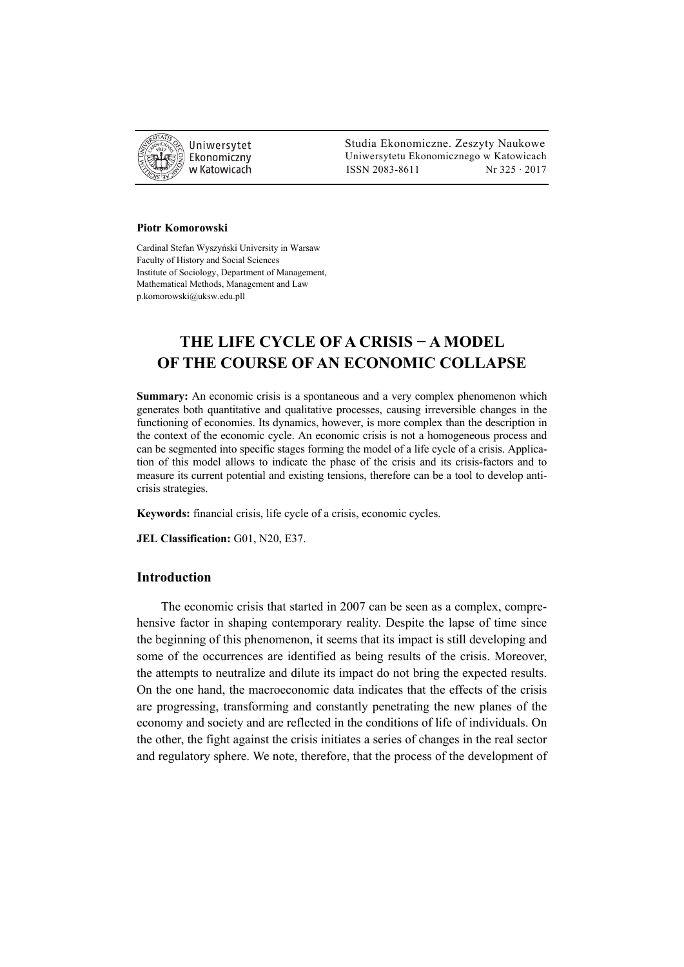

 Studia Ekonomiczne. Zeszyty Naukowe Ekonomiczny Uniwersytetu Ekonomicznego w Katowicach w Katowicach Matsus (ISSN 2083-8611 Nr 325 · 2017

#### **Piotr Komorowski**

Cardinal Stefan Wyszyński University in Warsaw Faculty of History and Social Sciences Institute of Sociology, Department of Management, Mathematical Methods, Management and Law p.komorowski@uksw.edu.pll

# **THE LIFE CYCLE OF A CRISIS − A MODEL OF THE COURSE OF AN ECONOMIC COLLAPSE**

**Summary:** An economic crisis is a spontaneous and a very complex phenomenon which generates both quantitative and qualitative processes, causing irreversible changes in the functioning of economies. Its dynamics, however, is more complex than the description in the context of the economic cycle. An economic crisis is not a homogeneous process and can be segmented into specific stages forming the model of a life cycle of a crisis. Application of this model allows to indicate the phase of the crisis and its crisis-factors and to measure its current potential and existing tensions, therefore can be a tool to develop anticrisis strategies.

**Keywords:** financial crisis, life cycle of a crisis, economic cycles.

**JEL Classification:** G01, N20, E37.

### **Introduction**

The economic crisis that started in 2007 can be seen as a complex, comprehensive factor in shaping contemporary reality. Despite the lapse of time since the beginning of this phenomenon, it seems that its impact is still developing and some of the occurrences are identified as being results of the crisis. Moreover, the attempts to neutralize and dilute its impact do not bring the expected results. On the one hand, the macroeconomic data indicates that the effects of the crisis are progressing, transforming and constantly penetrating the new planes of the economy and society and are reflected in the conditions of life of individuals. On the other, the fight against the crisis initiates a series of changes in the real sector and regulatory sphere. We note, therefore, that the process of the development of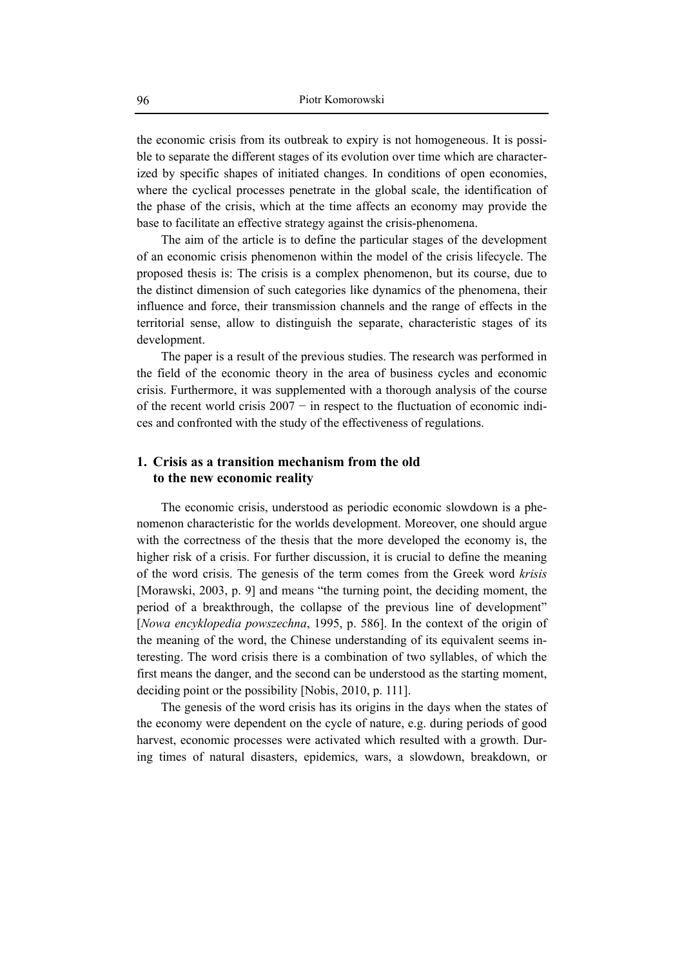the economic crisis from its outbreak to expiry is not homogeneous. It is possible to separate the different stages of its evolution over time which are characterized by specific shapes of initiated changes. In conditions of open economies, where the cyclical processes penetrate in the global scale, the identification of the phase of the crisis, which at the time affects an economy may provide the base to facilitate an effective strategy against the crisis-phenomena.

The aim of the article is to define the particular stages of the development of an economic crisis phenomenon within the model of the crisis lifecycle. The proposed thesis is: The crisis is a complex phenomenon, but its course, due to the distinct dimension of such categories like dynamics of the phenomena, their influence and force, their transmission channels and the range of effects in the territorial sense, allow to distinguish the separate, characteristic stages of its development.

The paper is a result of the previous studies. The research was performed in the field of the economic theory in the area of business cycles and economic crisis. Furthermore, it was supplemented with a thorough analysis of the course of the recent world crisis 2007 − in respect to the fluctuation of economic indices and confronted with the study of the effectiveness of regulations.

### **1. Crisis as a transition mechanism from the old to the new economic reality**

The economic crisis, understood as periodic economic slowdown is a phenomenon characteristic for the worlds development. Moreover, one should argue with the correctness of the thesis that the more developed the economy is, the higher risk of a crisis. For further discussion, it is crucial to define the meaning of the word crisis. The genesis of the term comes from the Greek word *krisis*  [Morawski, 2003, p. 9] and means "the turning point, the deciding moment, the period of a breakthrough, the collapse of the previous line of development" [*Nowa encyklopedia powszechna*, 1995, p. 586]. In the context of the origin of the meaning of the word, the Chinese understanding of its equivalent seems interesting. The word crisis there is a combination of two syllables, of which the first means the danger, and the second can be understood as the starting moment, deciding point or the possibility [Nobis, 2010, p. 111].

The genesis of the word crisis has its origins in the days when the states of the economy were dependent on the cycle of nature, e.g. during periods of good harvest, economic processes were activated which resulted with a growth. During times of natural disasters, epidemics, wars, a slowdown, breakdown, or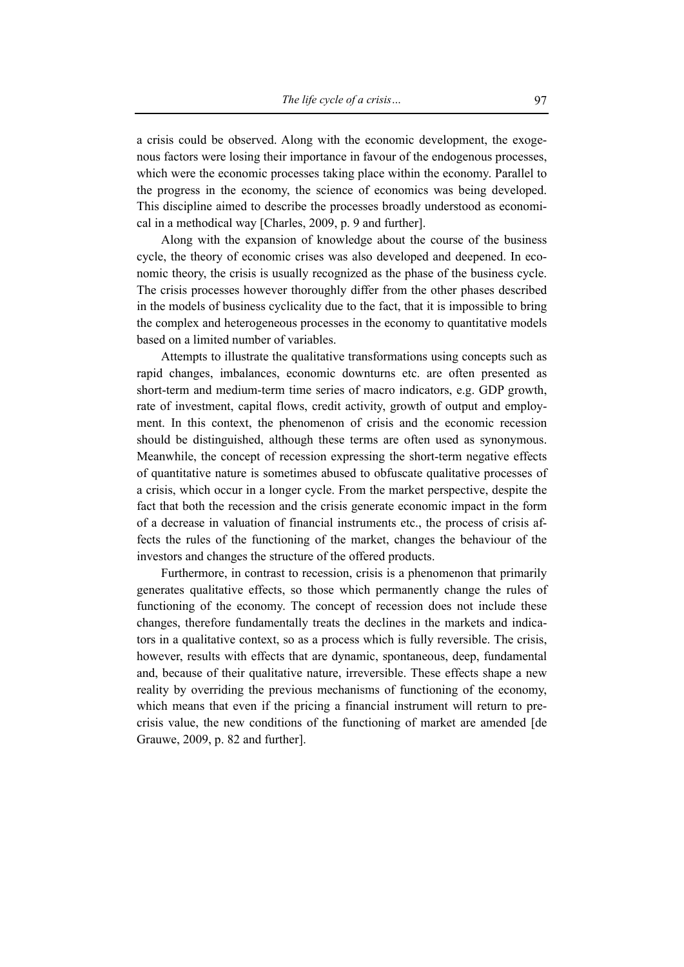a crisis could be observed. Along with the economic development, the exogenous factors were losing their importance in favour of the endogenous processes, which were the economic processes taking place within the economy. Parallel to the progress in the economy, the science of economics was being developed. This discipline aimed to describe the processes broadly understood as economical in a methodical way [Charles, 2009, p. 9 and further].

Along with the expansion of knowledge about the course of the business cycle, the theory of economic crises was also developed and deepened. In economic theory, the crisis is usually recognized as the phase of the business cycle. The crisis processes however thoroughly differ from the other phases described in the models of business cyclicality due to the fact, that it is impossible to bring the complex and heterogeneous processes in the economy to quantitative models based on a limited number of variables.

Attempts to illustrate the qualitative transformations using concepts such as rapid changes, imbalances, economic downturns etc. are often presented as short-term and medium-term time series of macro indicators, e.g. GDP growth, rate of investment, capital flows, credit activity, growth of output and employment. In this context, the phenomenon of crisis and the economic recession should be distinguished, although these terms are often used as synonymous. Meanwhile, the concept of recession expressing the short-term negative effects of quantitative nature is sometimes abused to obfuscate qualitative processes of a crisis, which occur in a longer cycle. From the market perspective, despite the fact that both the recession and the crisis generate economic impact in the form of a decrease in valuation of financial instruments etc., the process of crisis affects the rules of the functioning of the market, changes the behaviour of the investors and changes the structure of the offered products.

Furthermore, in contrast to recession, crisis is a phenomenon that primarily generates qualitative effects, so those which permanently change the rules of functioning of the economy. The concept of recession does not include these changes, therefore fundamentally treats the declines in the markets and indicators in a qualitative context, so as a process which is fully reversible. The crisis, however, results with effects that are dynamic, spontaneous, deep, fundamental and, because of their qualitative nature, irreversible. These effects shape a new reality by overriding the previous mechanisms of functioning of the economy, which means that even if the pricing a financial instrument will return to precrisis value, the new conditions of the functioning of market are amended [de Grauwe, 2009, p. 82 and further].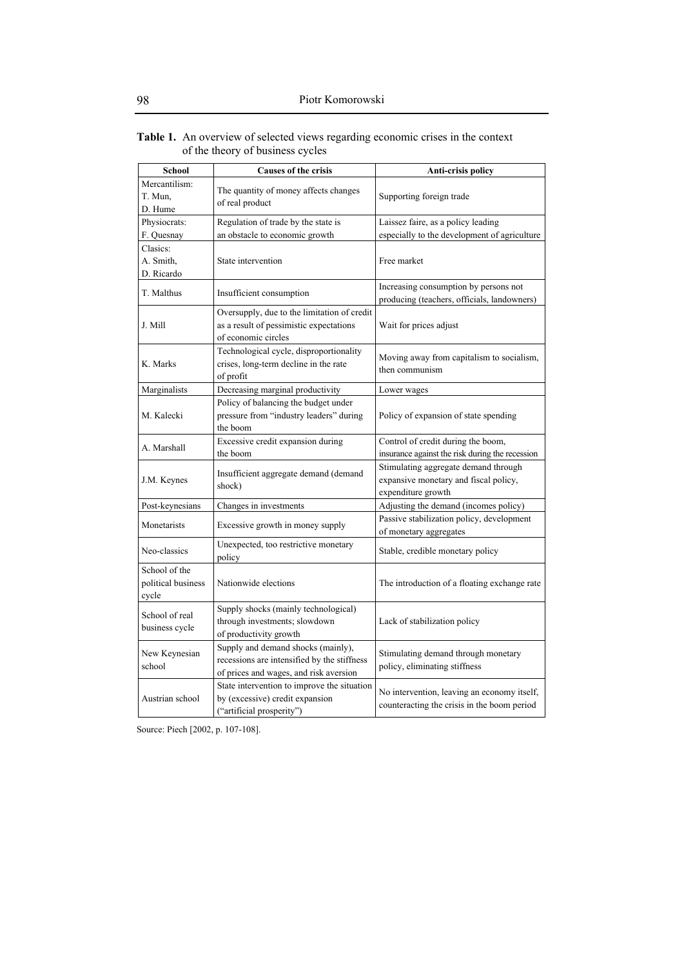#### **Table 1.** An overview of selected views regarding economic crises in the context of the theory of business cycles

| <b>School</b>                                | <b>Causes of the crisis</b>                                                                                                 | Anti-crisis policy                                                                                  |
|----------------------------------------------|-----------------------------------------------------------------------------------------------------------------------------|-----------------------------------------------------------------------------------------------------|
| Mercantilism:<br>T. Mun.<br>D. Hume          | The quantity of money affects changes<br>of real product                                                                    | Supporting foreign trade                                                                            |
| Physiocrats:                                 | Regulation of trade by the state is                                                                                         | Laissez faire, as a policy leading                                                                  |
| F. Quesnay                                   | an obstacle to economic growth                                                                                              | especially to the development of agriculture                                                        |
| Clasics:<br>A. Smith,<br>D. Ricardo          | State intervention                                                                                                          | Free market                                                                                         |
| T. Malthus                                   | Insufficient consumption                                                                                                    | Increasing consumption by persons not<br>producing (teachers, officials, landowners)                |
| J. Mill                                      | Oversupply, due to the limitation of credit<br>as a result of pessimistic expectations<br>of economic circles               | Wait for prices adjust                                                                              |
| K. Marks                                     | Technological cycle, disproportionality<br>crises, long-term decline in the rate<br>of profit                               | Moving away from capitalism to socialism,<br>then communism                                         |
| Marginalists                                 | Decreasing marginal productivity                                                                                            | Lower wages                                                                                         |
| M. Kalecki                                   | Policy of balancing the budget under<br>pressure from "industry leaders" during<br>the boom                                 | Policy of expansion of state spending                                                               |
| A. Marshall                                  | Excessive credit expansion during                                                                                           | Control of credit during the boom,                                                                  |
|                                              | the boom                                                                                                                    | insurance against the risk during the recession                                                     |
| J.M. Keynes                                  | Insufficient aggregate demand (demand<br>shock)                                                                             | Stimulating aggregate demand through<br>expansive monetary and fiscal policy,<br>expenditure growth |
| Post-keynesians                              | Changes in investments                                                                                                      | Adjusting the demand (incomes policy)                                                               |
| Monetarists                                  | Excessive growth in money supply                                                                                            | Passive stabilization policy, development<br>of monetary aggregates                                 |
| Neo-classics                                 | Unexpected, too restrictive monetary<br>policy                                                                              | Stable, credible monetary policy                                                                    |
| School of the<br>political business<br>cycle | Nationwide elections                                                                                                        | The introduction of a floating exchange rate                                                        |
| School of real<br>business cycle             | Supply shocks (mainly technological)<br>through investments; slowdown<br>of productivity growth                             | Lack of stabilization policy                                                                        |
| New Keynesian<br>school                      | Supply and demand shocks (mainly),<br>recessions are intensified by the stiffness<br>of prices and wages, and risk aversion | Stimulating demand through monetary<br>policy, eliminating stiffness                                |
| Austrian school                              | State intervention to improve the situation<br>by (excessive) credit expansion<br>("artificial prosperity")                 | No intervention, leaving an economy itself,<br>counteracting the crisis in the boom period          |

Source: Piech [2002, p. 107-108].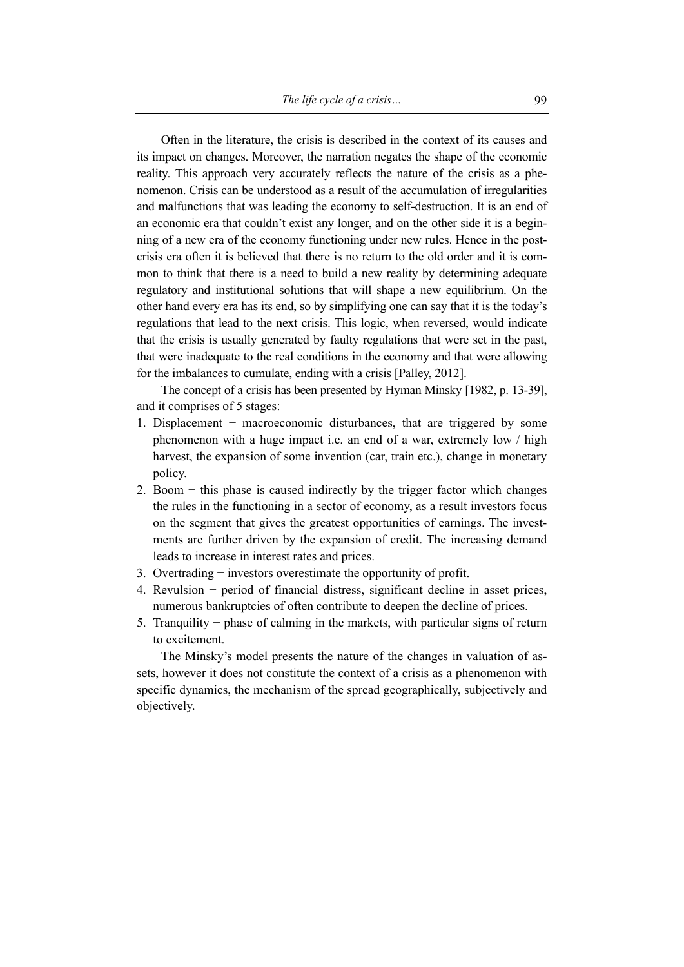Often in the literature, the crisis is described in the context of its causes and its impact on changes. Moreover, the narration negates the shape of the economic reality. This approach very accurately reflects the nature of the crisis as a phenomenon. Crisis can be understood as a result of the accumulation of irregularities and malfunctions that was leading the economy to self-destruction. It is an end of an economic era that couldn't exist any longer, and on the other side it is a beginning of a new era of the economy functioning under new rules. Hence in the postcrisis era often it is believed that there is no return to the old order and it is common to think that there is a need to build a new reality by determining adequate regulatory and institutional solutions that will shape a new equilibrium. On the other hand every era has its end, so by simplifying one can say that it is the today's regulations that lead to the next crisis. This logic, when reversed, would indicate that the crisis is usually generated by faulty regulations that were set in the past, that were inadequate to the real conditions in the economy and that were allowing for the imbalances to cumulate, ending with a crisis [Palley, 2012].

The concept of a crisis has been presented by Hyman Minsky [1982, p. 13-39], and it comprises of 5 stages:

- 1. Displacement − macroeconomic disturbances, that are triggered by some phenomenon with a huge impact i.e. an end of a war, extremely low / high harvest, the expansion of some invention (car, train etc.), change in monetary policy.
- 2. Boom − this phase is caused indirectly by the trigger factor which changes the rules in the functioning in a sector of economy, as a result investors focus on the segment that gives the greatest opportunities of earnings. The investments are further driven by the expansion of credit. The increasing demand leads to increase in interest rates and prices.
- 3. Overtrading − investors overestimate the opportunity of profit.
- 4. Revulsion − period of financial distress, significant decline in asset prices, numerous bankruptcies of often contribute to deepen the decline of prices.
- 5. Tranquility − phase of calming in the markets, with particular signs of return to excitement.

The Minsky's model presents the nature of the changes in valuation of assets, however it does not constitute the context of a crisis as a phenomenon with specific dynamics, the mechanism of the spread geographically, subjectively and objectively.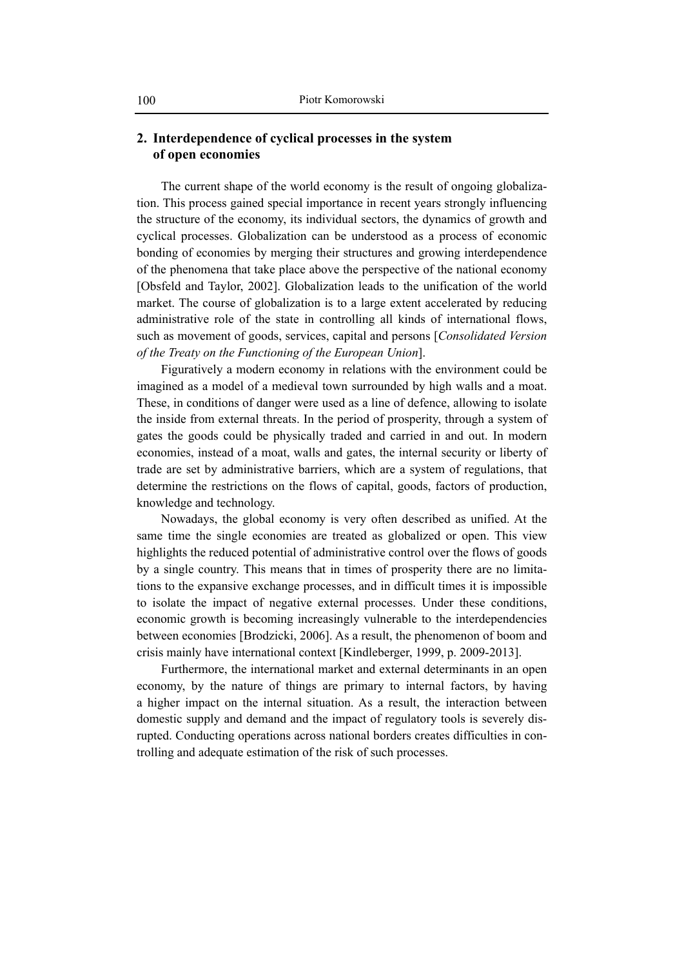### **2. Interdependence of cyclical processes in the system of open economies**

The current shape of the world economy is the result of ongoing globalization. This process gained special importance in recent years strongly influencing the structure of the economy, its individual sectors, the dynamics of growth and cyclical processes. Globalization can be understood as a process of economic bonding of economies by merging their structures and growing interdependence of the phenomena that take place above the perspective of the national economy [Obsfeld and Taylor, 2002]. Globalization leads to the unification of the world market. The course of globalization is to a large extent accelerated by reducing administrative role of the state in controlling all kinds of international flows, such as movement of goods, services, capital and persons [*Consolidated Version of the Treaty on the Functioning of the European Union*].

Figuratively a modern economy in relations with the environment could be imagined as a model of a medieval town surrounded by high walls and a moat. These, in conditions of danger were used as a line of defence, allowing to isolate the inside from external threats. In the period of prosperity, through a system of gates the goods could be physically traded and carried in and out. In modern economies, instead of a moat, walls and gates, the internal security or liberty of trade are set by administrative barriers, which are a system of regulations, that determine the restrictions on the flows of capital, goods, factors of production, knowledge and technology.

Nowadays, the global economy is very often described as unified. At the same time the single economies are treated as globalized or open. This view highlights the reduced potential of administrative control over the flows of goods by a single country. This means that in times of prosperity there are no limitations to the expansive exchange processes, and in difficult times it is impossible to isolate the impact of negative external processes. Under these conditions, economic growth is becoming increasingly vulnerable to the interdependencies between economies [Brodzicki, 2006]. As a result, the phenomenon of boom and crisis mainly have international context [Kindleberger, 1999, p. 2009-2013].

Furthermore, the international market and external determinants in an open economy, by the nature of things are primary to internal factors, by having a higher impact on the internal situation. As a result, the interaction between domestic supply and demand and the impact of regulatory tools is severely disrupted. Conducting operations across national borders creates difficulties in controlling and adequate estimation of the risk of such processes.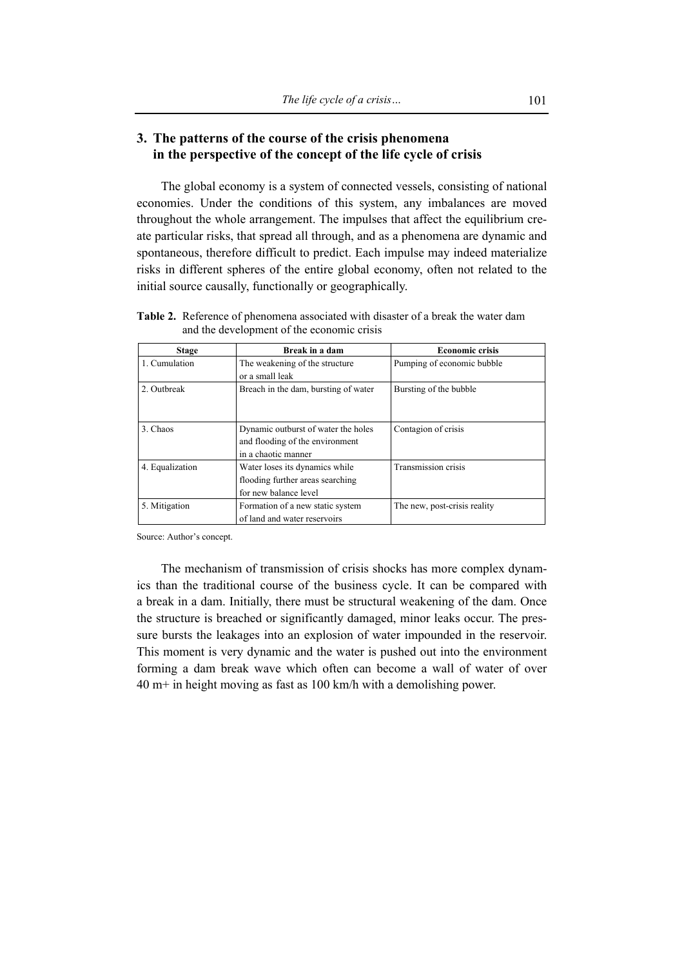## **3. The patterns of the course of the crisis phenomena in the perspective of the concept of the life cycle of crisis**

The global economy is a system of connected vessels, consisting of national economies. Under the conditions of this system, any imbalances are moved throughout the whole arrangement. The impulses that affect the equilibrium create particular risks, that spread all through, and as a phenomena are dynamic and spontaneous, therefore difficult to predict. Each impulse may indeed materialize risks in different spheres of the entire global economy, often not related to the initial source causally, functionally or geographically.

| <b>Stage</b>    | Break in a dam                                                                                | <b>Economic crisis</b>       |
|-----------------|-----------------------------------------------------------------------------------------------|------------------------------|
| 1. Cumulation   | The weakening of the structure<br>or a small leak                                             | Pumping of economic bubble   |
| 2. Outbreak     | Breach in the dam, bursting of water                                                          | Bursting of the bubble       |
| 3. Chaos        | Dynamic outburst of water the holes<br>and flooding of the environment<br>in a chaotic manner | Contagion of crisis          |
| 4. Equalization | Water loses its dynamics while<br>flooding further areas searching<br>for new balance level   | Transmission crisis          |
| 5. Mitigation   | Formation of a new static system<br>of land and water reservoirs                              | The new, post-crisis reality |

**Table 2.** Reference of phenomena associated with disaster of a break the water dam and the development of the economic crisis

Source: Author's concept.

The mechanism of transmission of crisis shocks has more complex dynamics than the traditional course of the business cycle. It can be compared with a break in a dam. Initially, there must be structural weakening of the dam. Once the structure is breached or significantly damaged, minor leaks occur. The pressure bursts the leakages into an explosion of water impounded in the reservoir. This moment is very dynamic and the water is pushed out into the environment forming a dam break wave which often can become a wall of water of over 40 m+ in height moving as fast as 100 km/h with a demolishing power.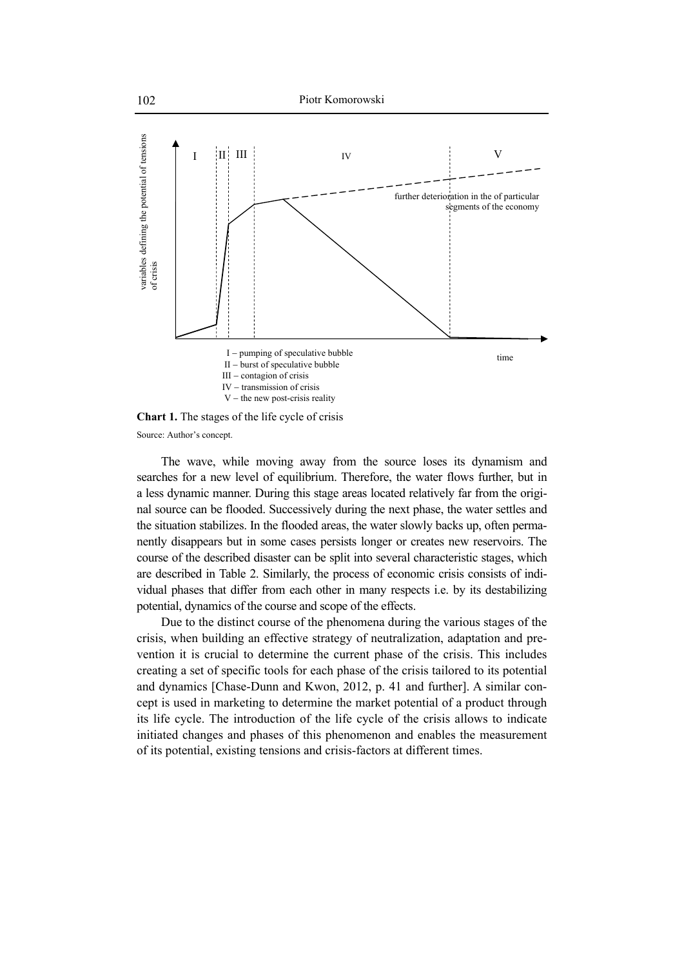

Source: Author's concept.

The wave, while moving away from the source loses its dynamism and searches for a new level of equilibrium. Therefore, the water flows further, but in a less dynamic manner. During this stage areas located relatively far from the original source can be flooded. Successively during the next phase, the water settles and the situation stabilizes. In the flooded areas, the water slowly backs up, often permanently disappears but in some cases persists longer or creates new reservoirs. The course of the described disaster can be split into several characteristic stages, which are described in Table 2. Similarly, the process of economic crisis consists of individual phases that differ from each other in many respects i.e. by its destabilizing potential, dynamics of the course and scope of the effects.

Due to the distinct course of the phenomena during the various stages of the crisis, when building an effective strategy of neutralization, adaptation and prevention it is crucial to determine the current phase of the crisis. This includes creating a set of specific tools for each phase of the crisis tailored to its potential and dynamics [Chase-Dunn and Kwon, 2012, p. 41 and further]. A similar concept is used in marketing to determine the market potential of a product through its life cycle. The introduction of the life cycle of the crisis allows to indicate initiated changes and phases of this phenomenon and enables the measurement of its potential, existing tensions and crisis-factors at different times.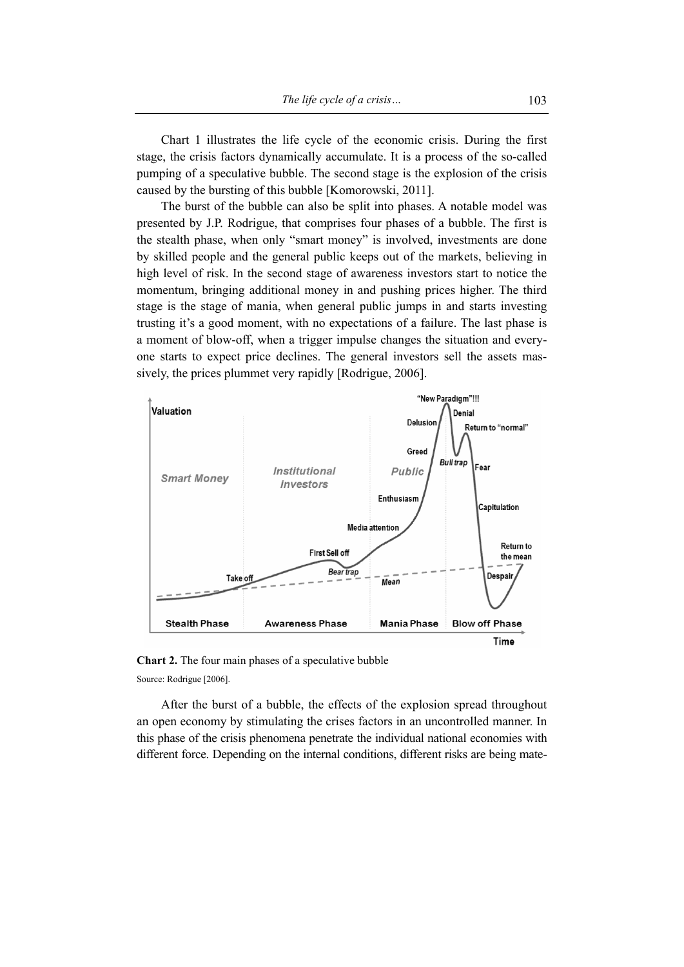Chart 1 illustrates the life cycle of the economic crisis. During the first stage, the crisis factors dynamically accumulate. It is a process of the so-called pumping of a speculative bubble. The second stage is the explosion of the crisis caused by the bursting of this bubble [Komorowski, 2011].

The burst of the bubble can also be split into phases. A notable model was presented by J.P. Rodrigue, that comprises four phases of a bubble. The first is the stealth phase, when only "smart money" is involved, investments are done by skilled people and the general public keeps out of the markets, believing in high level of risk. In the second stage of awareness investors start to notice the momentum, bringing additional money in and pushing prices higher. The third stage is the stage of mania, when general public jumps in and starts investing trusting it's a good moment, with no expectations of a failure. The last phase is a moment of blow-off, when a trigger impulse changes the situation and everyone starts to expect price declines. The general investors sell the assets massively, the prices plummet very rapidly [Rodrigue, 2006].



**Chart 2.** The four main phases of a speculative bubble Source: Rodrigue [2006].

After the burst of a bubble, the effects of the explosion spread throughout an open economy by stimulating the crises factors in an uncontrolled manner. In this phase of the crisis phenomena penetrate the individual national economies with different force. Depending on the internal conditions, different risks are being mate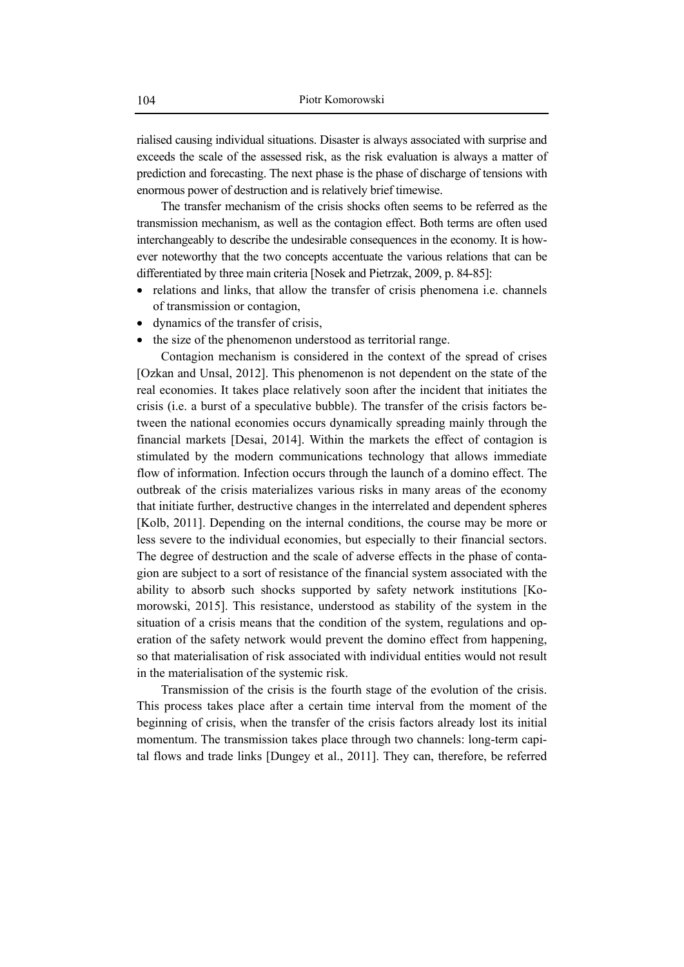rialised causing individual situations. Disaster is always associated with surprise and exceeds the scale of the assessed risk, as the risk evaluation is always a matter of prediction and forecasting. The next phase is the phase of discharge of tensions with enormous power of destruction and is relatively brief timewise.

The transfer mechanism of the crisis shocks often seems to be referred as the transmission mechanism, as well as the contagion effect. Both terms are often used interchangeably to describe the undesirable consequences in the economy. It is however noteworthy that the two concepts accentuate the various relations that can be differentiated by three main criteria [Nosek and Pietrzak, 2009, p. 84-85]:

- relations and links, that allow the transfer of crisis phenomena i.e. channels of transmission or contagion,
- dynamics of the transfer of crisis,
- the size of the phenomenon understood as territorial range.

Contagion mechanism is considered in the context of the spread of crises [Ozkan and Unsal, 2012]. This phenomenon is not dependent on the state of the real economies. It takes place relatively soon after the incident that initiates the crisis (i.e. a burst of a speculative bubble). The transfer of the crisis factors between the national economies occurs dynamically spreading mainly through the financial markets [Desai, 2014]. Within the markets the effect of contagion is stimulated by the modern communications technology that allows immediate flow of information. Infection occurs through the launch of a domino effect. The outbreak of the crisis materializes various risks in many areas of the economy that initiate further, destructive changes in the interrelated and dependent spheres [Kolb, 2011]. Depending on the internal conditions, the course may be more or less severe to the individual economies, but especially to their financial sectors. The degree of destruction and the scale of adverse effects in the phase of contagion are subject to a sort of resistance of the financial system associated with the ability to absorb such shocks supported by safety network institutions [Komorowski, 2015]. This resistance, understood as stability of the system in the situation of a crisis means that the condition of the system, regulations and operation of the safety network would prevent the domino effect from happening, so that materialisation of risk associated with individual entities would not result in the materialisation of the systemic risk.

Transmission of the crisis is the fourth stage of the evolution of the crisis. This process takes place after a certain time interval from the moment of the beginning of crisis, when the transfer of the crisis factors already lost its initial momentum. The transmission takes place through two channels: long-term capital flows and trade links [Dungey et al., 2011]. They can, therefore, be referred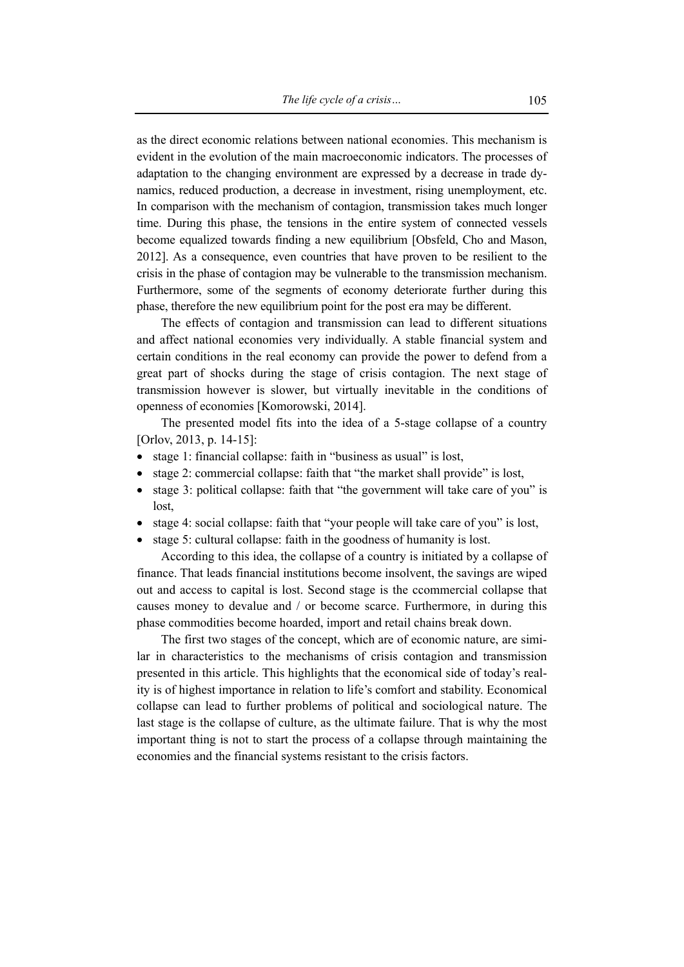as the direct economic relations between national economies. This mechanism is evident in the evolution of the main macroeconomic indicators. The processes of adaptation to the changing environment are expressed by a decrease in trade dynamics, reduced production, a decrease in investment, rising unemployment, etc. In comparison with the mechanism of contagion, transmission takes much longer time. During this phase, the tensions in the entire system of connected vessels become equalized towards finding a new equilibrium [Obsfeld, Cho and Mason, 2012]. As a consequence, even countries that have proven to be resilient to the crisis in the phase of contagion may be vulnerable to the transmission mechanism. Furthermore, some of the segments of economy deteriorate further during this phase, therefore the new equilibrium point for the post era may be different.

The effects of contagion and transmission can lead to different situations and affect national economies very individually. A stable financial system and certain conditions in the real economy can provide the power to defend from a great part of shocks during the stage of crisis contagion. The next stage of transmission however is slower, but virtually inevitable in the conditions of openness of economies [Komorowski, 2014].

The presented model fits into the idea of a 5-stage collapse of a country [Orlov, 2013, p. 14-15]:

- stage 1: financial collapse: faith in "business as usual" is lost,
- stage 2: commercial collapse: faith that "the market shall provide" is lost,
- stage 3: political collapse: faith that "the government will take care of you" is lost,
- stage 4: social collapse: faith that "your people will take care of you" is lost,
- stage 5: cultural collapse: faith in the goodness of humanity is lost.

According to this idea, the collapse of a country is initiated by a collapse of finance. That leads financial institutions become insolvent, the savings are wiped out and access to capital is lost. Second stage is the ccommercial collapse that causes money to devalue and / or become scarce. Furthermore, in during this phase commodities become hoarded, import and retail chains break down.

The first two stages of the concept, which are of economic nature, are similar in characteristics to the mechanisms of crisis contagion and transmission presented in this article. This highlights that the economical side of today's reality is of highest importance in relation to life's comfort and stability. Economical collapse can lead to further problems of political and sociological nature. The last stage is the collapse of culture, as the ultimate failure. That is why the most important thing is not to start the process of a collapse through maintaining the economies and the financial systems resistant to the crisis factors.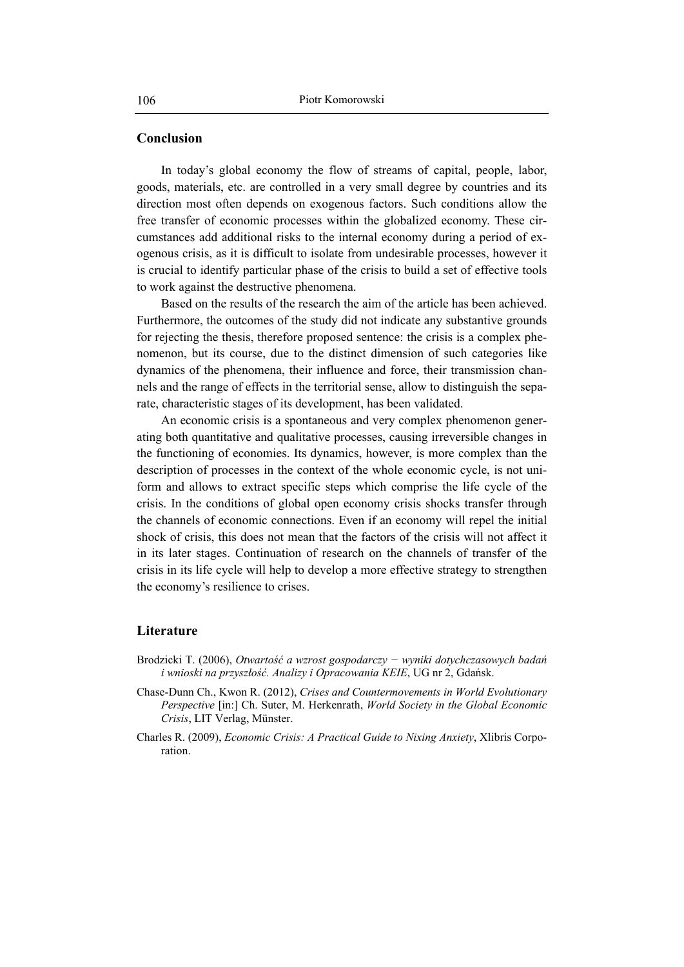### **Conclusion**

In today's global economy the flow of streams of capital, people, labor, goods, materials, etc. are controlled in a very small degree by countries and its direction most often depends on exogenous factors. Such conditions allow the free transfer of economic processes within the globalized economy. These circumstances add additional risks to the internal economy during a period of exogenous crisis, as it is difficult to isolate from undesirable processes, however it is crucial to identify particular phase of the crisis to build a set of effective tools to work against the destructive phenomena.

Based on the results of the research the aim of the article has been achieved. Furthermore, the outcomes of the study did not indicate any substantive grounds for rejecting the thesis, therefore proposed sentence: the crisis is a complex phenomenon, but its course, due to the distinct dimension of such categories like dynamics of the phenomena, their influence and force, their transmission channels and the range of effects in the territorial sense, allow to distinguish the separate, characteristic stages of its development, has been validated.

An economic crisis is a spontaneous and very complex phenomenon generating both quantitative and qualitative processes, causing irreversible changes in the functioning of economies. Its dynamics, however, is more complex than the description of processes in the context of the whole economic cycle, is not uniform and allows to extract specific steps which comprise the life cycle of the crisis. In the conditions of global open economy crisis shocks transfer through the channels of economic connections. Even if an economy will repel the initial shock of crisis, this does not mean that the factors of the crisis will not affect it in its later stages. Continuation of research on the channels of transfer of the crisis in its life cycle will help to develop a more effective strategy to strengthen the economy's resilience to crises.

### **Literature**

- Brodzicki T. (2006), *Otwartość a wzrost gospodarczy − wyniki dotychczasowych badań i wnioski na przyszłość. Analizy i Opracowania KEIE*, UG nr 2, Gdańsk.
- Chase-Dunn Ch., Kwon R. (2012), *Crises and Countermovements in World Evolutionary Perspective* [in:] Ch. Suter, M. Herkenrath, *World Society in the Global Economic Crisis*, LIT Verlag, Münster.
- Charles R. (2009), *Economic Crisis: A Practical Guide to Nixing Anxiety*, Xlibris Corporation.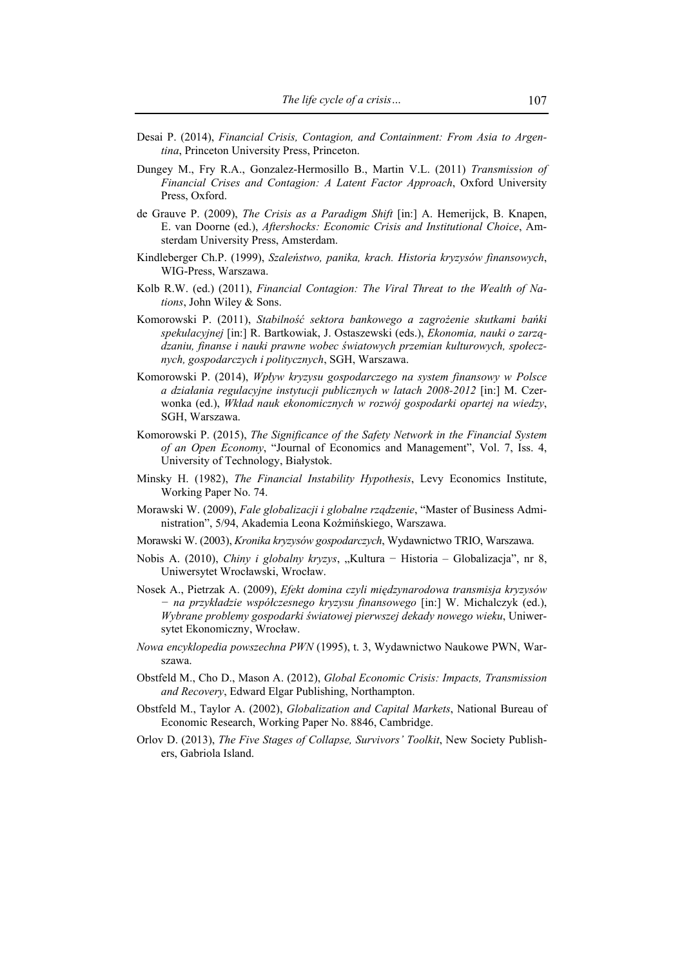- Desai P. (2014), *Financial Crisis, Contagion, and Containment: From Asia to Argentina*, Princeton University Press, Princeton.
- Dungey M., Fry R.A., Gonzalez-Hermosillo B., Martin V.L. (2011) *Transmission of Financial Crises and Contagion: A Latent Factor Approach*, Oxford University Press, Oxford.
- de Grauve P. (2009), *The Crisis as a Paradigm Shift* [in:] A. Hemerijck, B. Knapen, E. van Doorne (ed.), *Aftershocks: Economic Crisis and Institutional Choice*, Amsterdam University Press, Amsterdam.
- Kindleberger Ch.P. (1999), *Szaleństwo, panika, krach. Historia kryzysów finansowych*, WIG-Press, Warszawa.
- Kolb R.W. (ed.) (2011), *Financial Contagion: The Viral Threat to the Wealth of Nations*, John Wiley & Sons.
- Komorowski P. (2011), *Stabilność sektora bankowego a zagrożenie skutkami bańki spekulacyjnej* [in:] R. Bartkowiak, J. Ostaszewski (eds.), *Ekonomia, nauki o zarządzaniu, finanse i nauki prawne wobec światowych przemian kulturowych, społecznych, gospodarczych i politycznych*, SGH, Warszawa.
- Komorowski P. (2014), *Wpływ kryzysu gospodarczego na system finansowy w Polsce a działania regulacyjne instytucji publicznych w latach 2008-2012* [in:] M. Czerwonka (ed.), *Wkład nauk ekonomicznych w rozwój gospodarki opartej na wiedzy*, SGH, Warszawa.
- Komorowski P. (2015), *The Significance of the Safety Network in the Financial System of an Open Economy*, "Journal of Economics and Management", Vol. 7, Iss. 4, University of Technology, Białystok.
- Minsky H. (1982), *The Financial Instability Hypothesis*, Levy Economics Institute, Working Paper No. 74.
- Morawski W. (2009), *Fale globalizacji i globalne rządzenie*, "Master of Business Administration", 5/94, Akademia Leona Koźmińskiego, Warszawa.
- Morawski W. (2003), *Kronika kryzysów gospodarczych*, Wydawnictwo TRIO, Warszawa.
- Nobis A. (2010), *Chiny i globalny kryzys*, "Kultura − Historia Globalizacja", nr 8, Uniwersytet Wrocławski, Wrocław.
- Nosek A., Pietrzak A. (2009), *Efekt domina czyli międzynarodowa transmisja kryzysów − na przykładzie współczesnego kryzysu finansowego* [in:] W. Michalczyk (ed.), *Wybrane problemy gospodarki światowej pierwszej dekady nowego wieku*, Uniwersytet Ekonomiczny, Wrocław.
- *Nowa encyklopedia powszechna PWN* (1995), t. 3, Wydawnictwo Naukowe PWN, Warszawa.
- Obstfeld M., Cho D., Mason A. (2012), *Global Economic Crisis: Impacts, Transmission and Recovery*, Edward Elgar Publishing, Northampton.
- Obstfeld M., Taylor A. (2002), *Globalization and Capital Markets*, National Bureau of Economic Research, Working Paper No. 8846, Cambridge.
- Orlov D. (2013), *The Five Stages of Collapse, Survivors' Toolkit*, New Society Publishers, Gabriola Island.